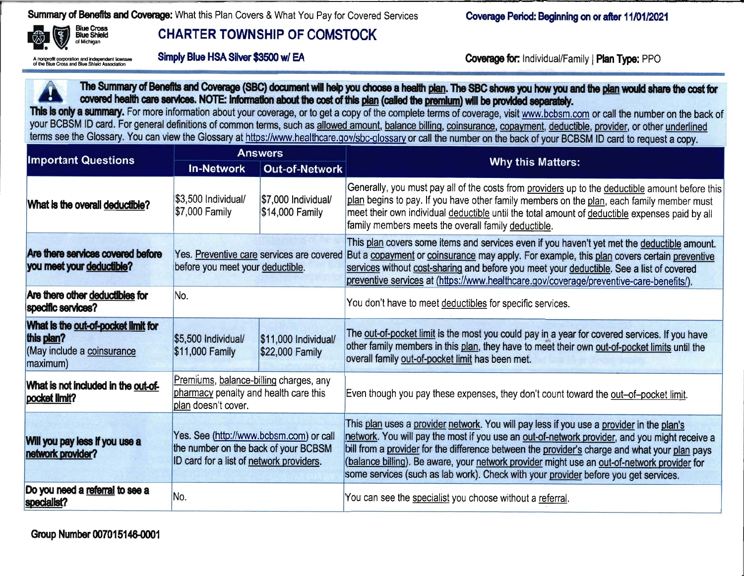**Summary of Benefits and Coverage:** What this Plan Covers & What You Pay for Covered Services



## *CHARTER TOWNSHIP OF COMSTOCK*

*•••••HMMMHini*

*Coverage Period: Beginning onorafter 11/01/2021*

A nonprofit corporation and independent licensee<br>of the Blue Cross and Blue Shield Association

Blue Cross Blue Shield

Association *Simply Blue HSA Silver \$3500 w/ EA Coverage for* Individual/Family | *Plan Type:* PPO



The Summary of Benefits and Coverage (SBC) document will help you choose a health <u>plan</u>. The SBC shows you how you and the <u>plan</u> *covered health* care services. NOTE: *Information* about the cost of this plan (called the premium) will be provided separately.

*This is only asummary.* For more information about your coverage, or to get <sup>a</sup> copy of the complete terms of coverage, visit www.bcbsm.com or call the number on the back of your BCBSM ID card. For general definitions of common terms, such as allowed amount, balance billing, coinsurance, copayment, deductible, provider, or other underlined terms see the Glossary. You can view the Glossary at <u>https://www.healthcare.gov/sbc-glossary</u> or call the number on the back of your BCBSM ID card to request a copy

| <b>Important Questions</b>                                                                  | <b>Answers</b>                                                                                                              |                                         |                                                                                                                                                                                                                                                                                                                                                                                                                                                                                  |  |  |  |
|---------------------------------------------------------------------------------------------|-----------------------------------------------------------------------------------------------------------------------------|-----------------------------------------|----------------------------------------------------------------------------------------------------------------------------------------------------------------------------------------------------------------------------------------------------------------------------------------------------------------------------------------------------------------------------------------------------------------------------------------------------------------------------------|--|--|--|
|                                                                                             | <b>In-Network</b>                                                                                                           | <b>Out-of-Network</b>                   | <b>Why this Matters:</b>                                                                                                                                                                                                                                                                                                                                                                                                                                                         |  |  |  |
| What is the overall deductible?                                                             | \$3,500 Individual/<br>\$7,000 Family                                                                                       | \$7,000 Individual/<br>\$14,000 Family  | Generally, you must pay all of the costs from providers up to the deductible amount before this<br>plan begins to pay. If you have other family members on the plan, each family member must<br>meet their own individual deductible until the total amount of deductible expenses paid by all<br>family members meets the overall family deductible.                                                                                                                            |  |  |  |
| Are there services covered before<br>you meet your deductible?                              | Yes. Preventive care services are covered<br>before you meet your deductible.                                               |                                         | This plan covers some items and services even if you haven't yet met the deductible amount.<br>But a copayment or coinsurance may apply. For example, this plan covers certain preventive<br>services without cost-sharing and before you meet your deductible. See a list of covered<br>preventive services at (https://www.healthcare.gov/coverage/preventive-care-benefits/).                                                                                                 |  |  |  |
| Are there other deductibles for<br>specific services?                                       | No.                                                                                                                         |                                         | You don't have to meet deductibles for specific services.                                                                                                                                                                                                                                                                                                                                                                                                                        |  |  |  |
| What is the out-of-pocket limit for<br>this plan?<br>(May include a coinsurance<br>maximum) | \$5,500 Individual/<br>\$11,000 Family                                                                                      | \$11,000 Individual/<br>\$22,000 Family | The out-of-pocket limit is the most you could pay in a year for covered services. If you have<br>other family members in this plan, they have to meet their own out-of-pocket limits until the<br>overall family out-of-pocket limit has been met.                                                                                                                                                                                                                               |  |  |  |
| What is not included in the out-of-<br>pocket limit?                                        | Premiums, balance-billing charges, any<br>pharmacy penalty and health care this<br>plan doesn't cover.                      |                                         | Even though you pay these expenses, they don't count toward the out-of-pocket limit.                                                                                                                                                                                                                                                                                                                                                                                             |  |  |  |
| Will you pay less if you use a<br>network provider?                                         | Yes. See (http://www.bcbsm.com) or call<br>the number on the back of your BCBSM<br>ID card for a list of network providers. |                                         | This plan uses a provider network. You will pay less if you use a provider in the plan's<br>network. You will pay the most if you use an out-of-network provider, and you might receive a<br>bill from a provider for the difference between the provider's charge and what your plan pays<br>(balance billing). Be aware, your network provider might use an out-of-network provider for<br>some services (such as lab work). Check with your provider before you get services. |  |  |  |
| Do you need a referral to see a<br>specialist?                                              | No.                                                                                                                         |                                         | You can see the specialist you choose without a referral.                                                                                                                                                                                                                                                                                                                                                                                                                        |  |  |  |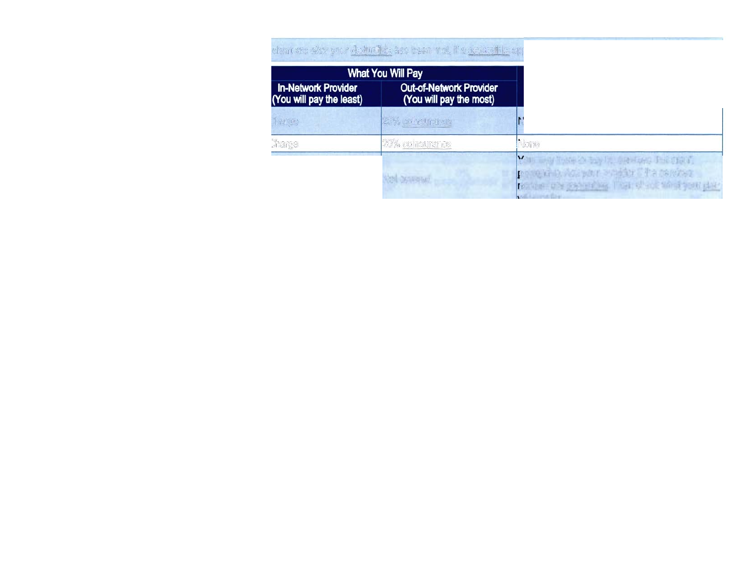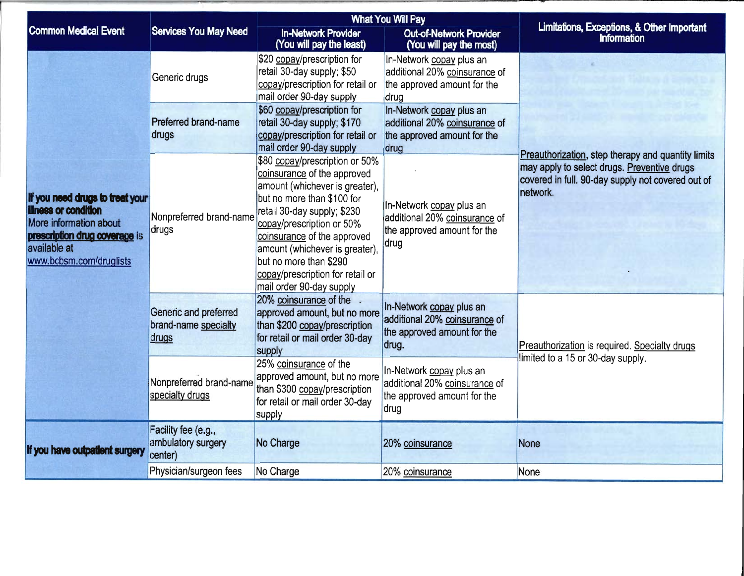|                                                                                                                                                                      |                                                        |                                                                                                                                                                                                                                                                                                                                                      | <b>What You Will Pay</b>                                                                          |                                                                                                                                                                    |  |
|----------------------------------------------------------------------------------------------------------------------------------------------------------------------|--------------------------------------------------------|------------------------------------------------------------------------------------------------------------------------------------------------------------------------------------------------------------------------------------------------------------------------------------------------------------------------------------------------------|---------------------------------------------------------------------------------------------------|--------------------------------------------------------------------------------------------------------------------------------------------------------------------|--|
| <b>Common Medical Event</b>                                                                                                                                          | <b>Services You May Need</b>                           | <b>In-Network Provider</b><br>(You will pay the least)                                                                                                                                                                                                                                                                                               | <b>Out-of-Network Provider</b><br>(You will pay the most)                                         | Limitations, Exceptions, & Other Important<br>Information                                                                                                          |  |
|                                                                                                                                                                      | Generic drugs                                          | \$20 copay/prescription for<br>retail 30-day supply; \$50<br>copay/prescription for retail or<br>mail order 90-day supply                                                                                                                                                                                                                            | In-Network copay plus an<br>additional 20% coinsurance of<br>the approved amount for the<br>drug  |                                                                                                                                                                    |  |
|                                                                                                                                                                      | Preferred brand-name<br>drugs                          | \$60 copay/prescription for<br>retail 30-day supply; \$170<br>copay/prescription for retail or<br>mail order 90-day supply                                                                                                                                                                                                                           | In-Network copay plus an<br>additional 20% coinsurance of<br>the approved amount for the<br>drug  |                                                                                                                                                                    |  |
| If you need drugs to treat your<br><b>Illness or condition</b><br>More information about<br>prescription drug coverage is<br>available at<br>www.bcbsm.com/druglists | Nonpreferred brand-name<br>drugs                       | \$80 copay/prescription or 50%<br>coinsurance of the approved<br>amount (whichever is greater),<br>but no more than \$100 for<br>retail 30-day supply; \$230<br>copay/prescription or 50%<br>coinsurance of the approved<br>amount (whichever is greater),<br>but no more than \$290<br>copay/prescription for retail or<br>mail order 90-day supply | In-Network copay plus an<br>additional 20% coinsurance of<br>the approved amount for the<br>drug  | Preauthorization, step therapy and quantity limits<br>may apply to select drugs. Preventive drugs<br>covered in full. 90-day supply not covered out of<br>network. |  |
|                                                                                                                                                                      | Generic and preferred<br>brand-name specialty<br>drugs | 20% coinsurance of the<br>approved amount, but no more<br>than \$200 copay/prescription<br>for retail or mail order 30-day<br>supply                                                                                                                                                                                                                 | In-Network copay plus an<br>additional 20% coinsurance of<br>the approved amount for the<br>drug. | Preauthorization is required. Specialty drugs<br>limited to a 15 or 30-day supply.                                                                                 |  |
|                                                                                                                                                                      | Nonpreferred brand-name<br>specialty drugs             | 25% coinsurance of the<br>approved amount, but no more<br>than \$300 copay/prescription<br>for retail or mail order 30-day<br>supply                                                                                                                                                                                                                 | In-Network copay plus an<br>additional 20% coinsurance of<br>the approved amount for the<br>drug  |                                                                                                                                                                    |  |
| If you have outpatient surgery                                                                                                                                       | Facility fee (e.g.,<br>ambulatory surgery<br>center)   | No Charge                                                                                                                                                                                                                                                                                                                                            | 20% coinsurance                                                                                   | None                                                                                                                                                               |  |
|                                                                                                                                                                      | Physician/surgeon fees                                 | No Charge                                                                                                                                                                                                                                                                                                                                            | 20% coinsurance                                                                                   | None                                                                                                                                                               |  |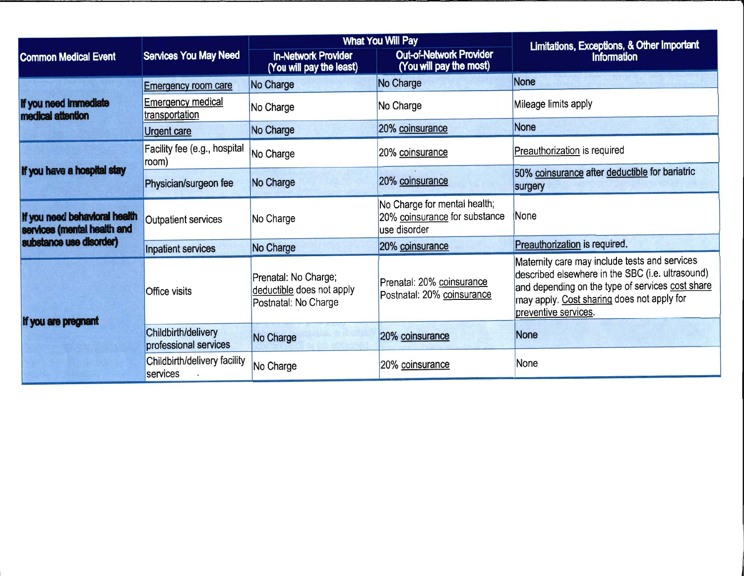|                                                              |                                                    |                                                                           | <b>What You Will Pay</b>                                                      | Limitations, Exceptions, & Other Important<br><b>Information</b>                                                                                                                                                            |  |
|--------------------------------------------------------------|----------------------------------------------------|---------------------------------------------------------------------------|-------------------------------------------------------------------------------|-----------------------------------------------------------------------------------------------------------------------------------------------------------------------------------------------------------------------------|--|
| <b>Common Medical Event</b>                                  | <b>Services You May Need</b>                       | <b>In-Network Provider</b><br>(You will pay the least)                    | <b>Out-of-Network Provider</b><br>(You will pay the most)                     |                                                                                                                                                                                                                             |  |
|                                                              | <b>Emergency room care</b>                         | No Charge                                                                 | No Charge                                                                     | <b>None</b>                                                                                                                                                                                                                 |  |
| If you need immediate<br>medical attention                   | <b>Emergency medical</b><br>transportation         | No Charge                                                                 | No Charge                                                                     | Mileage limits apply                                                                                                                                                                                                        |  |
|                                                              | <b>Urgent care</b>                                 | No Charge                                                                 | 20% coinsurance                                                               | None                                                                                                                                                                                                                        |  |
| If you have a hospital stay                                  | Facility fee (e.g., hospital<br>No Charge<br>room) |                                                                           | 20% coinsurance                                                               | Preauthorization is required                                                                                                                                                                                                |  |
|                                                              | Physician/surgeon fee                              | No Charge                                                                 | 20% coinsurance                                                               | 50% coinsurance after deductible for bariatric<br>surgery                                                                                                                                                                   |  |
| If you need behavioral health<br>services (mental health and | <b>Outpatient services</b>                         | No Charge                                                                 | No Charge for mental health;<br>20% coinsurance for substance<br>use disorder | None                                                                                                                                                                                                                        |  |
| substance use disorder)                                      | Inpatient services                                 | No Charge                                                                 | 20% coinsurance                                                               | Preauthorization is required.                                                                                                                                                                                               |  |
|                                                              | Office visits                                      | Prenatal: No Charge;<br>deductible does not apply<br>Postnatal: No Charge | Prenatal: 20% coinsurance<br>Postnatal: 20% coinsurance                       | Maternity care may include tests and services<br>described elsewhere in the SBC (i.e. ultrasound)<br>and depending on the type of services cost share<br>may apply. Cost sharing does not apply for<br>preventive services. |  |
| If you are pregnant                                          | Childbirth/delivery<br>professional services       | No Charge                                                                 | 20% coinsurance                                                               | <b>None</b>                                                                                                                                                                                                                 |  |
|                                                              | Childbirth/delivery facility<br>services           | No Charge                                                                 | 20% coinsurance                                                               | None                                                                                                                                                                                                                        |  |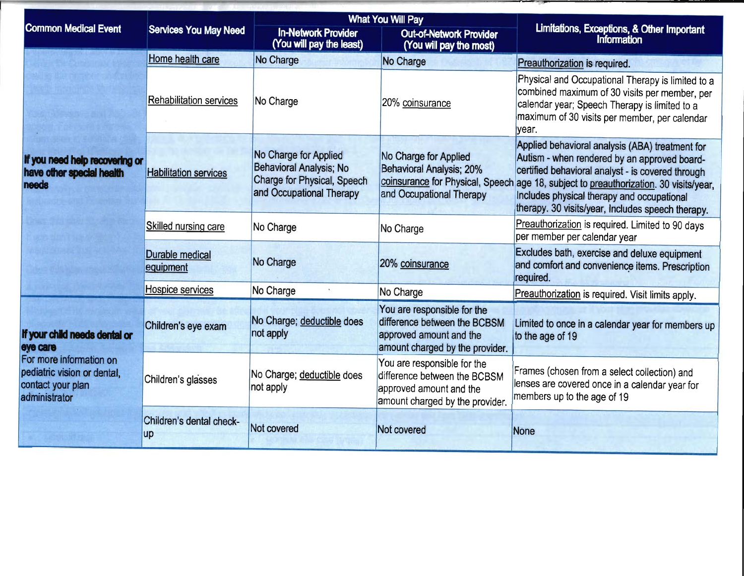|                                                                                                                                           |                                                                |                                                                                                                    | <b>What You Will Pay</b>                                                                                                  |                                                                                                                                                                                                                                                                                                                 |  |
|-------------------------------------------------------------------------------------------------------------------------------------------|----------------------------------------------------------------|--------------------------------------------------------------------------------------------------------------------|---------------------------------------------------------------------------------------------------------------------------|-----------------------------------------------------------------------------------------------------------------------------------------------------------------------------------------------------------------------------------------------------------------------------------------------------------------|--|
| <b>Common Medical Event</b>                                                                                                               | <b>Services You May Need</b>                                   | <b>In-Network Provider</b><br>(You will pay the least)                                                             | <b>Out-of-Network Provider</b><br>(You will pay the most)                                                                 | Limitations, Exceptions, & Other Important<br><b>Information</b>                                                                                                                                                                                                                                                |  |
|                                                                                                                                           | Home health care                                               | No Charge                                                                                                          | No Charge                                                                                                                 | Preauthorization is required.                                                                                                                                                                                                                                                                                   |  |
|                                                                                                                                           | <b>Rehabilitation services</b>                                 | No Charge                                                                                                          | 20% coinsurance                                                                                                           | Physical and Occupational Therapy is limited to a<br>combined maximum of 30 visits per member, per<br>calendar year; Speech Therapy is limited to a<br>maximum of 30 visits per member, per calendar<br>year.                                                                                                   |  |
| If you need help recovering or<br>have other special health<br><b>needs</b>                                                               | <b>Habilitation services</b>                                   | No Charge for Applied<br><b>Behavioral Analysis; No</b><br>Charge for Physical, Speech<br>and Occupational Therapy | No Charge for Applied<br>Behavioral Analysis; 20%<br>coinsurance for Physical, Speech<br>and Occupational Therapy         | Applied behavioral analysis (ABA) treatment for<br>Autism - when rendered by an approved board-<br>certified behavioral analyst - is covered through<br>age 18, subject to preauthorization. 30 visits/year,<br>Includes physical therapy and occupational<br>therapy. 30 visits/year, Includes speech therapy. |  |
|                                                                                                                                           | Skilled nursing care                                           | No Charge                                                                                                          | No Charge                                                                                                                 | Preauthorization is required. Limited to 90 days<br>per member per calendar year                                                                                                                                                                                                                                |  |
|                                                                                                                                           | <b>Durable medical</b><br>No Charge<br>equipment               |                                                                                                                    | 20% coinsurance                                                                                                           | Excludes bath, exercise and deluxe equipment<br>and comfort and convenience items. Prescription<br>required.                                                                                                                                                                                                    |  |
|                                                                                                                                           | Hospice services                                               | No Charge                                                                                                          | No Charge                                                                                                                 | Preauthorization is required. Visit limits apply.                                                                                                                                                                                                                                                               |  |
| If your child needs dental or<br>eye care<br>For more information on<br>pediatric vision or dental,<br>contact your plan<br>administrator | No Charge; deductible does<br>Children's eye exam<br>not apply |                                                                                                                    | You are responsible for the<br>difference between the BCBSM<br>approved amount and the<br>amount charged by the provider. | Limited to once in a calendar year for members up<br>to the age of 19                                                                                                                                                                                                                                           |  |
|                                                                                                                                           | Children's glasses                                             | No Charge; deductible does<br>not apply                                                                            | You are responsible for the<br>difference between the BCBSM<br>approved amount and the<br>amount charged by the provider. | Frames (chosen from a select collection) and<br>lenses are covered once in a calendar year for<br>members up to the age of 19                                                                                                                                                                                   |  |
|                                                                                                                                           | Children's dental check-<br><b>up</b>                          | Not covered                                                                                                        | Not covered                                                                                                               | None                                                                                                                                                                                                                                                                                                            |  |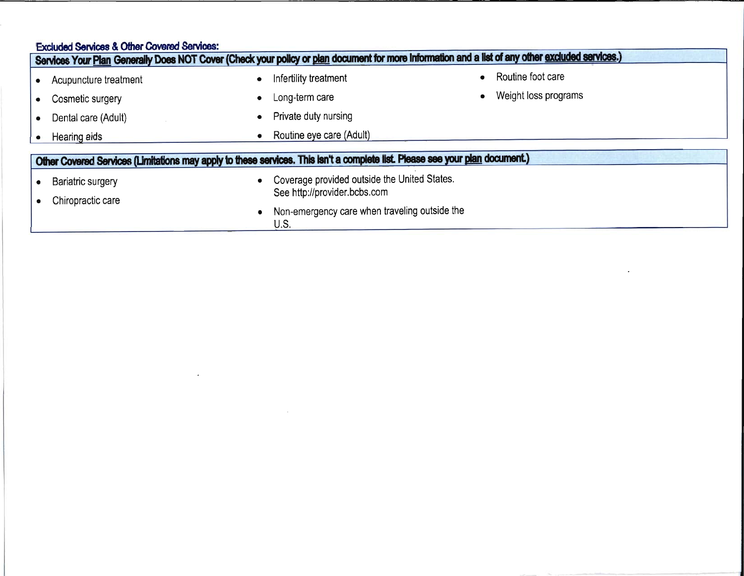| <b>Excluded Services &amp; Other Covered Services:</b> |                              | Services Your Plan Generally Does NOT Cover (Check your policy or plan document for more Information and a list of any other excluded services.) |                      |
|--------------------------------------------------------|------------------------------|--------------------------------------------------------------------------------------------------------------------------------------------------|----------------------|
| Acupuncture treatment                                  | $\bullet$                    | Infertility treatment                                                                                                                            | Routine foot care    |
| Cosmetic surgery                                       | ۰                            | Long-term care                                                                                                                                   | Weight loss programs |
| Dental care (Adult)                                    | ۰                            | Private duty nursing                                                                                                                             |                      |
| Hearing aids                                           | $\bullet$                    | Routine eye care (Adult)                                                                                                                         |                      |
|                                                        |                              | Other Covered Services (Limitations may apply to these services. This isn't a complete list. Please see your plan document.)                     |                      |
| <b>Bariatric surgery</b>                               | $\bullet$                    | Coverage provided outside the United States.                                                                                                     |                      |
| Chiropractic care                                      | See http://provider.bcbs.com |                                                                                                                                                  |                      |
|                                                        |                              | Non-emergency care when traveling outside the<br>U.S.                                                                                            |                      |

 $\mathcal{L}(\mathcal{L}^{\mathcal{L}})$  and  $\mathcal{L}(\mathcal{L}^{\mathcal{L}})$  and  $\mathcal{L}(\mathcal{L}^{\mathcal{L}})$ 

 $\label{eq:2.1} \mathcal{L}(\mathcal{L}^{\mathcal{L}}_{\mathcal{L}}(\mathcal{L}^{\mathcal{L}}_{\mathcal{L}})) = \mathcal{L}(\mathcal{L}^{\mathcal{L}}_{\mathcal{L}}(\mathcal{L}^{\mathcal{L}}_{\mathcal{L}})) = \mathcal{L}(\mathcal{L}^{\mathcal{L}}_{\mathcal{L}}(\mathcal{L}^{\mathcal{L}}_{\mathcal{L}}))$ 

 $\mathcal{L}^{\text{max}}_{\text{max}}$  , where  $\mathcal{L}^{\text{max}}_{\text{max}}$